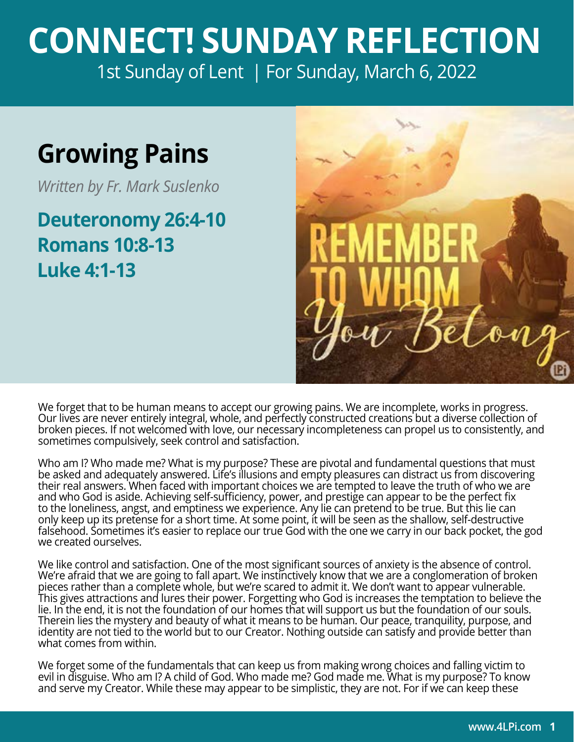## **CONNECT! SUNDAY REFLECTION** [1st Sunday of Lent | For Sunday, March 6, 2022](https://bible.usccb.org/bible/readings/030622.cfm)

## **Growing Pains**

*Written by Fr. Mark Suslenko*

**Deuteronomy 26:4-10 Romans 10:8-13 Luke 4:1-13**



We forget that to be human means to accept our growing pains. We are incomplete, works in progress. Our lives are never entirely integral, whole, and perfectly constructed creations but a diverse collection of broken pieces. If not welcomed with love, our necessary incompleteness can propel us to consistently, and sometimes compulsively, seek control and satisfaction.

Who am I? Who made me? What is my purpose? These are pivotal and fundamental questions that must be asked and adequately answered. Life's illusions and empty pleasures can distract us from discovering their real answers. When faced with important choices we are tempted to leave the truth of who we are and who God is aside. Achieving self-sufficiency, power, and prestige can appear to be the perfect fix to the loneliness, angst, and emptiness we experience. Any lie can pretend to be true. But this lie can only keep up its pretense for a short time. At some point, it will be seen as the shallow, self-destructive falsehood. Sometimes it's easier to replace our true God with the one we carry in our back pocket, the god we created ourselves.

We like control and satisfaction. One of the most significant sources of anxiety is the absence of control. We're afraid that we are going to fall apart. We instinctively know that we are a conglomeration of broken pieces rather than a complete whole, but we're scared to admit it. We don't want to appear vulnerable. This gives attractions and lures their power. Forgetting who God is increases the temptation to believe the lie. In the end, it is not the foundation of our homes that will support us but the foundation of our souls. Therein lies the mystery and beauty of what it means to be human. Our peace, tranquility, purpose, and identity are not tied to the world but to our Creator. Nothing outside can satisfy and provide better than what comes from within.

We forget some of the fundamentals that can keep us from making wrong choices and falling victim to evil in disguise. Who am I? A child of God. Who made me? God made me. What is my purpose? To know and serve my Creator. While these may appear to be simplistic, they are not. For if we can keep these